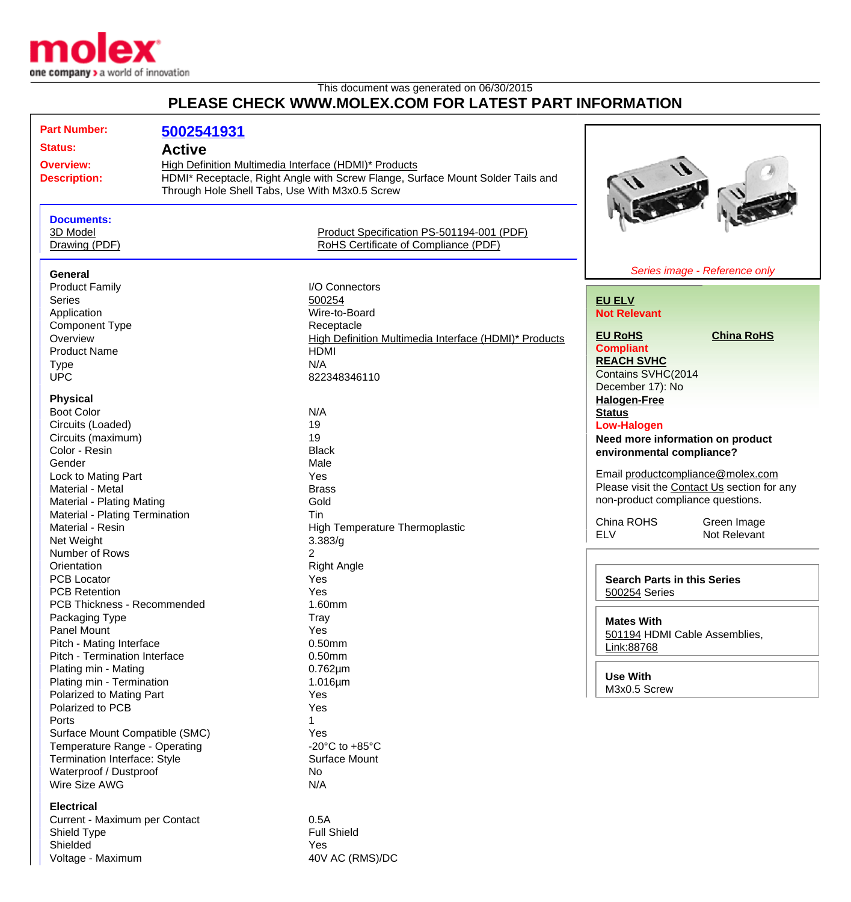

## This document was generated on 06/30/2015 **PLEASE CHECK WWW.MOLEX.COM FOR LATEST PART INFORMATION**

| <b>Part Number:</b>            | 5002541931    |                                                                                                                                   |                                             |
|--------------------------------|---------------|-----------------------------------------------------------------------------------------------------------------------------------|---------------------------------------------|
| <b>Status:</b>                 | <b>Active</b> |                                                                                                                                   |                                             |
|                                |               |                                                                                                                                   |                                             |
| <b>Overview:</b>               |               | High Definition Multimedia Interface (HDMI)* Products                                                                             |                                             |
| <b>Description:</b>            |               | HDMI* Receptacle, Right Angle with Screw Flange, Surface Mount Solder Tails and<br>Through Hole Shell Tabs, Use With M3x0.5 Screw |                                             |
|                                |               |                                                                                                                                   |                                             |
|                                |               |                                                                                                                                   |                                             |
| <b>Documents:</b><br>3D Model  |               | Product Specification PS-501194-001 (PDF)                                                                                         |                                             |
| Drawing (PDF)                  |               | RoHS Certificate of Compliance (PDF)                                                                                              |                                             |
|                                |               |                                                                                                                                   |                                             |
| General                        |               |                                                                                                                                   | Series image - Reference only               |
| <b>Product Family</b>          |               | I/O Connectors                                                                                                                    |                                             |
| <b>Series</b>                  |               | 500254                                                                                                                            | <b>EU ELV</b>                               |
| Application                    |               | Wire-to-Board                                                                                                                     | <b>Not Relevant</b>                         |
| <b>Component Type</b>          |               | Receptacle                                                                                                                        |                                             |
| Overview                       |               | High Definition Multimedia Interface (HDMI)* Products                                                                             | <b>EU RoHS</b><br><b>China RoHS</b>         |
| <b>Product Name</b>            |               | <b>HDMI</b>                                                                                                                       | <b>Compliant</b>                            |
| <b>Type</b>                    |               | N/A                                                                                                                               | <b>REACH SVHC</b>                           |
| <b>UPC</b>                     |               | 822348346110                                                                                                                      | Contains SVHC(2014                          |
|                                |               |                                                                                                                                   | December 17): No                            |
| <b>Physical</b>                |               |                                                                                                                                   | <b>Halogen-Free</b>                         |
| <b>Boot Color</b>              |               | N/A                                                                                                                               | <b>Status</b>                               |
| Circuits (Loaded)              |               | 19                                                                                                                                | <b>Low-Halogen</b>                          |
| Circuits (maximum)             |               | 19                                                                                                                                | Need more information on product            |
| Color - Resin                  |               | <b>Black</b>                                                                                                                      | environmental compliance?                   |
| Gender                         |               | Male                                                                                                                              |                                             |
| Lock to Mating Part            |               | Yes                                                                                                                               | Email productcompliance@molex.com           |
| Material - Metal               |               | <b>Brass</b>                                                                                                                      | Please visit the Contact Us section for any |
| Material - Plating Mating      |               | Gold                                                                                                                              | non-product compliance questions.           |
| Material - Plating Termination |               | Tin                                                                                                                               |                                             |
| Material - Resin               |               | High Temperature Thermoplastic                                                                                                    | China ROHS<br>Green Image                   |
| Net Weight                     |               | 3.383/g                                                                                                                           | <b>ELV</b><br>Not Relevant                  |
| Number of Rows                 |               | 2                                                                                                                                 |                                             |
| Orientation                    |               | <b>Right Angle</b>                                                                                                                |                                             |
| PCB Locator                    |               | Yes                                                                                                                               | <b>Search Parts in this Series</b>          |
| <b>PCB Retention</b>           |               | Yes                                                                                                                               | 500254 Series                               |
| PCB Thickness - Recommended    |               | 1.60mm                                                                                                                            |                                             |
| Packaging Type                 |               | Tray                                                                                                                              | <b>Mates With</b>                           |
| Panel Mount                    |               | Yes                                                                                                                               | 501194 HDMI Cable Assemblies,               |
| Pitch - Mating Interface       |               | 0.50mm                                                                                                                            | Link:88768                                  |
| Pitch - Termination Interface  |               | $0.50$ mm                                                                                                                         |                                             |
| Plating min - Mating           |               | $0.762 \mu m$                                                                                                                     |                                             |
| Plating min - Termination      |               | $1.016 \mu m$                                                                                                                     | <b>Use With</b>                             |
| Polarized to Mating Part       |               | Yes                                                                                                                               | M3x0.5 Screw                                |
| Polarized to PCB               |               | Yes                                                                                                                               |                                             |
| Ports                          |               |                                                                                                                                   |                                             |
| Surface Mount Compatible (SMC) |               | Yes                                                                                                                               |                                             |
| Temperature Range - Operating  |               | -20 $^{\circ}$ C to +85 $^{\circ}$ C                                                                                              |                                             |
| Termination Interface: Style   |               | <b>Surface Mount</b>                                                                                                              |                                             |
| Waterproof / Dustproof         |               | No                                                                                                                                |                                             |
| Wire Size AWG                  |               | N/A                                                                                                                               |                                             |
| <b>Electrical</b>              |               |                                                                                                                                   |                                             |
| Current - Maximum per Contact  |               | 0.5A                                                                                                                              |                                             |
| Shield Type                    |               | <b>Full Shield</b>                                                                                                                |                                             |
|                                |               |                                                                                                                                   |                                             |

Shielded Yes<br>
Voltage - Maximum (1999)<br>
Voltage - Maximum (1999) Voltage - Maximum